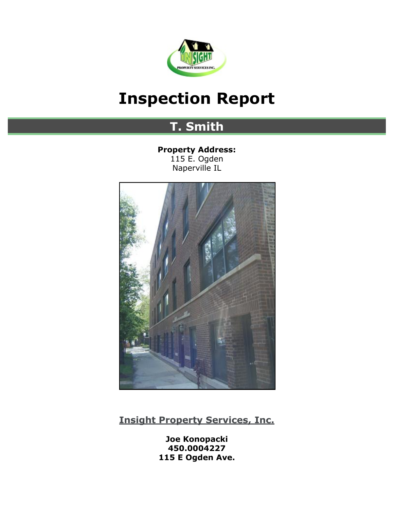

# <span id="page-0-0"></span>**Inspection Report**

## **T. Smith**

**Property Address:** 115 E. Ogden Naperville IL



**[Insight Property Services, Inc.](http://insightpropertyservicesinc.com)**

**Joe Konopacki 450.0004227 115 E Ogden Ave.**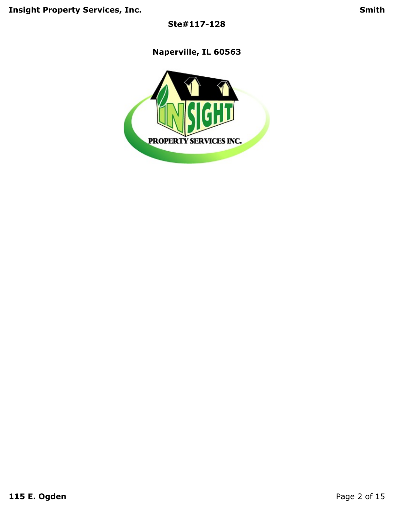**Ste#117-128**

**Naperville, IL 60563**

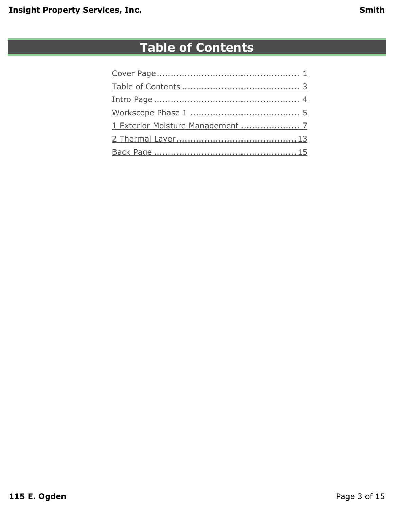## **Table of Contents**

<span id="page-2-0"></span>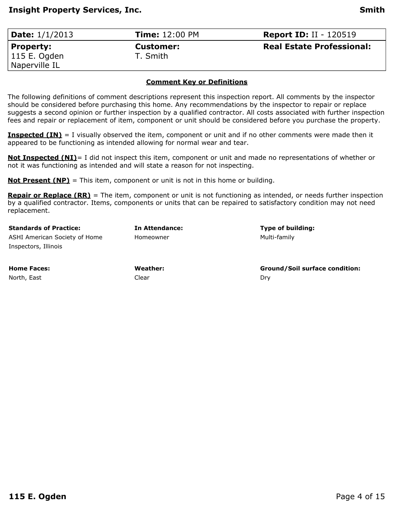<span id="page-3-0"></span>

| <b>Date:</b> 1/1/2013 | <b>Time: 12:00 PM</b> | <b>Report ID: II - 120519</b>    |
|-----------------------|-----------------------|----------------------------------|
| Property:             | <b>Customer:</b>      | <b>Real Estate Professional:</b> |
| 115 E. Ogden          | T. Smith              |                                  |
| Naperville IL         |                       |                                  |

#### **Comment Key or Definitions**

The following definitions of comment descriptions represent this inspection report. All comments by the inspector should be considered before purchasing this home. Any recommendations by the inspector to repair or replace suggests a second opinion or further inspection by a qualified contractor. All costs associated with further inspection fees and repair or replacement of item, component or unit should be considered before you purchase the property.

**Inspected (IN)** = I visually observed the item, component or unit and if no other comments were made then it appeared to be functioning as intended allowing for normal wear and tear.

**Not Inspected (NI)**= I did not inspect this item, component or unit and made no representations of whether or not it was functioning as intended and will state a reason for not inspecting.

**Not Present (NP)** = This item, component or unit is not in this home or building.

**Repair or Replace (RR)** = The item, component or unit is not functioning as intended, or needs further inspection by a qualified contractor. Items, components or units that can be repaired to satisfactory condition may not need replacement.

| <b>Standards of Practice:</b> | <b>In Attendance:</b> | Type of building:                     |
|-------------------------------|-----------------------|---------------------------------------|
| ASHI American Society of Home | Homeowner             | Multi-family                          |
| Inspectors, Illinois          |                       |                                       |
| <b>Home Faces:</b>            | Weather:              | <b>Ground/Soil surface condition:</b> |
| North, East                   | Clear                 | Drv                                   |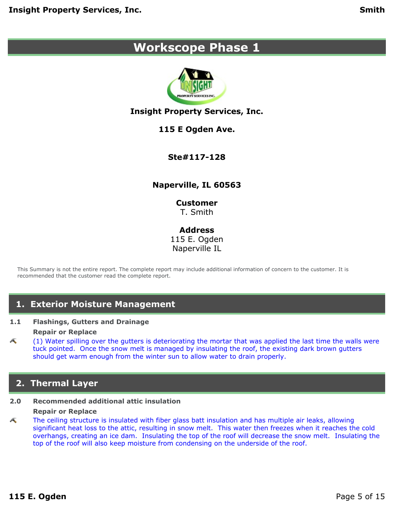## <span id="page-4-0"></span>**Workscope Phase 1**



### **Insight Property Services, Inc.**

### **115 E Ogden Ave.**

### **Ste#117-128**

### **Naperville, IL 60563**

**Customer** T. Smith

**Address** 115 E. Ogden Naperville IL

This Summary is not the entire report. The complete report may include additional information of concern to the customer. It is recommended that the customer read the complete report.

### **1. Exterior Moisture Management**

#### **1.1 Flashings, Gutters and Drainage Repair or Replace**

Æ (1) Water spilling over the gutters is deteriorating the mortar that was applied the last time the walls were tuck pointed. Once the snow melt is managed by insulating the roof, the existing dark brown gutters should get warm enough from the winter sun to allow water to drain properly.

### **2. Thermal Layer**

#### **2.0 Recommended additional attic insulation**

#### **Repair or Replace**

The ceiling structure is insulated with fiber glass batt insulation and has multiple air leaks, allowing Æ significant heat loss to the attic, resulting in snow melt. This water then freezes when it reaches the cold overhangs, creating an ice dam. Insulating the top of the roof will decrease the snow melt. Insulating the top of the roof will also keep moisture from condensing on the underside of the roof.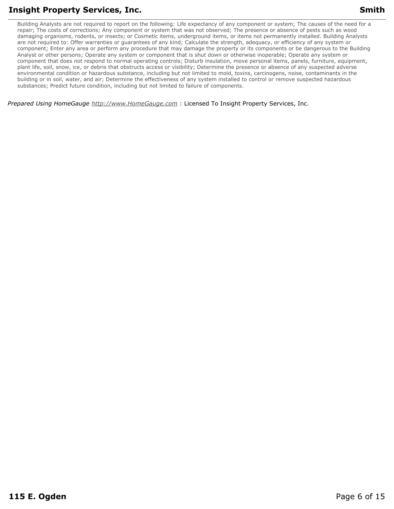Building Analysts are not required to report on the following: Life expectancy of any component or system; The causes of the need for a repair; The costs of corrections; Any component or system that was not observed; The presence or absence of pests such as wood damaging organisms, rodents, or insects; or Cosmetic items, underground items, or items not permanently installed. Building Analysts are not required to: Offer warranties or guarantees of any kind; Calculate the strength, adequacy, or efficiency of any system or component; Enter any area or perform any procedure that may damage the property or its components or be dangerous to the Building Analyst or other persons; Operate any system or component that is shut down or otherwise inoperable; Operate any system or component that does not respond to normal operating controls; Disturb insulation, move personal items, panels, furniture, equipment, plant life, soil, snow, ice, or debris that obstructs access or visibility; Determine the presence or absence of any suspected adverse environmental condition or hazardous substance, including but not limited to mold, toxins, carcinogens, noise, contaminants in the building or in soil, water, and air; Determine the effectiveness of any system installed to control or remove suspected hazardous substances; Predict future condition, including but not limited to failure of components.

*Prepared Using HomeGauge <http://www.HomeGauge.com>* : Licensed To Insight Property Services, Inc.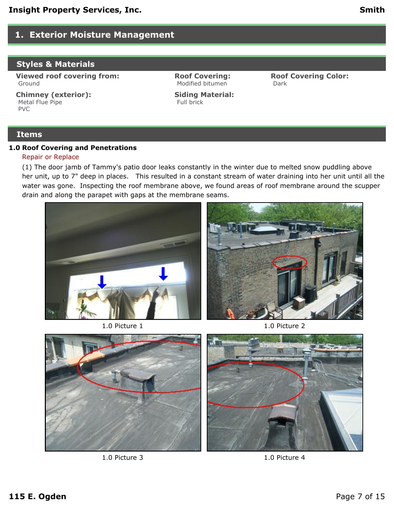### <span id="page-6-0"></span>**1. Exterior Moisture Management**

### **Styles & Materials**

**Viewed roof covering from:** Ground

**Chimney (exterior):** Metal Flue Pipe PVC

**Roof Covering:** Modified bitumen

**Roof Covering Color:** Dark

#### **Siding Material:** Full brick

#### **Items**

#### **1.0 Roof Covering and Penetrations**

#### Repair or Replace

(1) The door jamb of Tammy's patio door leaks constantly in the winter due to melted snow puddling above her unit, up to 7" deep in places. This resulted in a constant stream of water draining into her unit until all the water was gone. Inspecting the roof membrane above, we found areas of roof membrane around the scupper drain and along the parapet with gaps at the membrane seams.



1.0 Picture 1 1.0 Picture 2





1.0 Picture 3 1.0 Picture 4

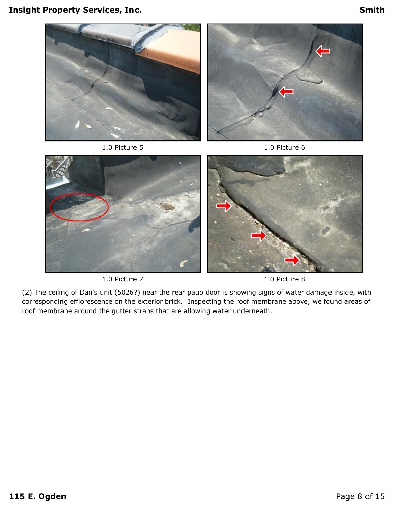



(2) The ceiling of Dan's unit (5026?) near the rear patio door is showing signs of water damage inside, with corresponding efflorescence on the exterior brick. Inspecting the roof membrane above, we found areas of roof membrane around the gutter straps that are allowing water underneath.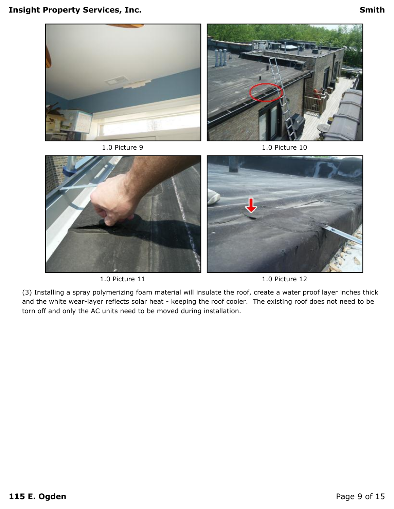



(3) Installing a spray polymerizing foam material will insulate the roof, create a water proof layer inches thick and the white wear-layer reflects solar heat - keeping the roof cooler. The existing roof does not need to be torn off and only the AC units need to be moved during installation.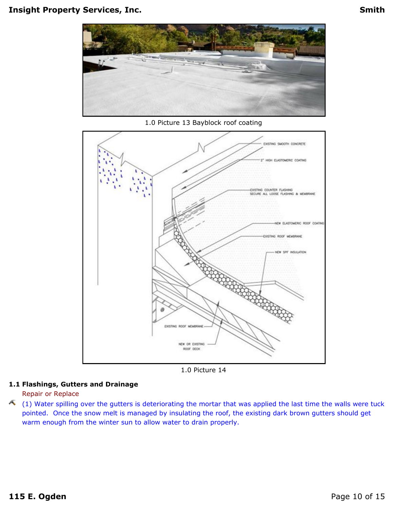

1.0 Picture 13 Bayblock roof coating



1.0 Picture 14

#### **1.1 Flashings, Gutters and Drainage**

Repair or Replace

 $(1)$  Water spilling over the gutters is deteriorating the mortar that was applied the last time the walls were tuck pointed. Once the snow melt is managed by insulating the roof, the existing dark brown gutters should get warm enough from the winter sun to allow water to drain properly.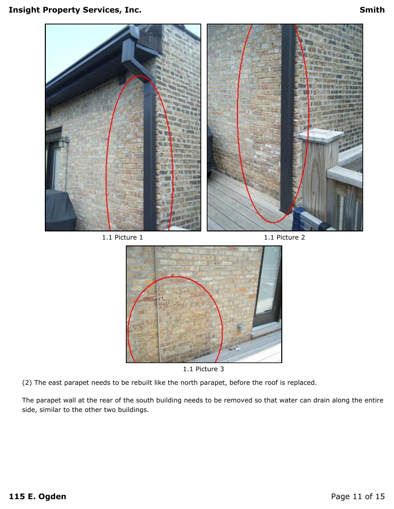

The parapet wall at the rear of the south building needs to be removed so that water can drain along the entire side, similar to the other two buildings.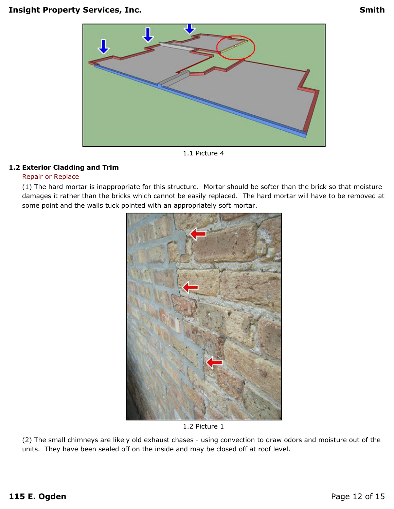

1.1 Picture 4

#### **1.2 Exterior Cladding and Trim**

#### Repair or Replace

(1) The hard mortar is inappropriate for this structure. Mortar should be softer than the brick so that moisture damages it rather than the bricks which cannot be easily replaced. The hard mortar will have to be removed at some point and the walls tuck pointed with an appropriately soft mortar.



1.2 Picture 1

(2) The small chimneys are likely old exhaust chases - using convection to draw odors and moisture out of the units. They have been sealed off on the inside and may be closed off at roof level.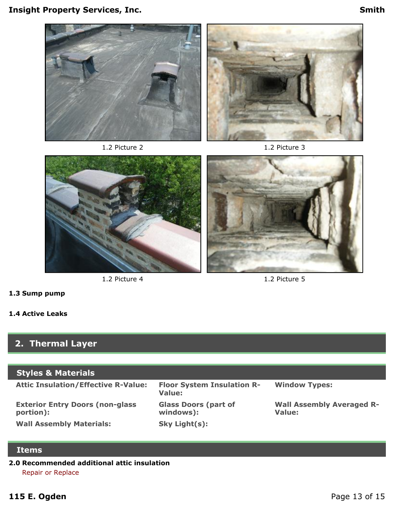







1.2 Picture 4 1.2 Picture 5

## **1.3 Sump pump**

### **1.4 Active Leaks**

## <span id="page-12-0"></span>**2. Thermal Layer**

### **Styles & Materials**

| <b>Attic Insulation/Effective R-Value:</b>           | <b>Floor System Insulation R-</b><br>Value: | <b>Window Types:</b>                       |
|------------------------------------------------------|---------------------------------------------|--------------------------------------------|
| <b>Exterior Entry Doors (non-glass)</b><br>portion): | <b>Glass Doors (part of</b><br>windows):    | <b>Wall Assembly Averaged R-</b><br>Value: |
| <b>Wall Assembly Materials:</b>                      | Sky Light(s):                               |                                            |

### **Items**

### **2.0 Recommended additional attic insulation** Repair or Replace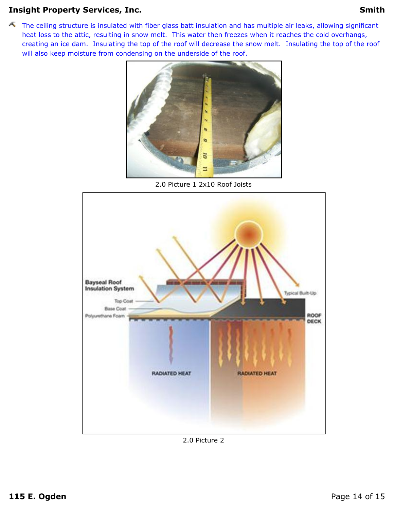The ceiling structure is insulated with fiber glass batt insulation and has multiple air leaks, allowing significant heat loss to the attic, resulting in snow melt. This water then freezes when it reaches the cold overhangs, creating an ice dam. Insulating the top of the roof will decrease the snow melt. Insulating the top of the roof will also keep moisture from condensing on the underside of the roof.



2.0 Picture 1 2x10 Roof Joists



2.0 Picture 2